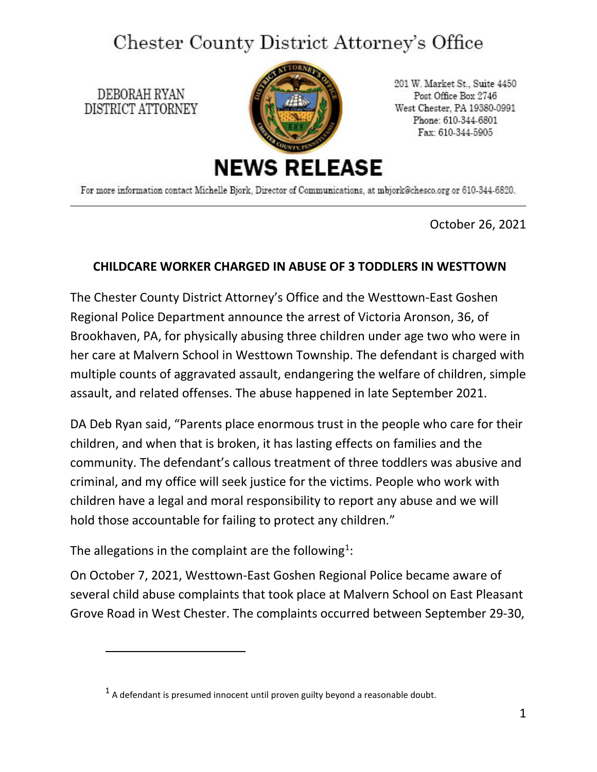## Chester County District Attorney's Office

DEBORAH RYAN DISTRICT ATTORNEY



201 W. Market St., Suite 4450 Post Office Box 2746 West Chester, PA 19380-0991 Phone: 610-344-6801 Fax: 610-344-5905

For more information contact Michelle Bjork, Director of Communications, at mbjork@chesco.org or 610-344-6820.

October 26, 2021

## **CHILDCARE WORKER CHARGED IN ABUSE OF 3 TODDLERS IN WESTTOWN**

The Chester County District Attorney's Office and the Westtown-East Goshen Regional Police Department announce the arrest of Victoria Aronson, 36, of Brookhaven, PA, for physically abusing three children under age two who were in her care at Malvern School in Westtown Township. The defendant is charged with multiple counts of aggravated assault, endangering the welfare of children, simple assault, and related offenses. The abuse happened in late September 2021.

DA Deb Ryan said, "Parents place enormous trust in the people who care for their children, and when that is broken, it has lasting effects on families and the community. The defendant's callous treatment of three toddlers was abusive and criminal, and my office will seek justice for the victims. People who work with children have a legal and moral responsibility to report any abuse and we will hold those accountable for failing to protect any children."

The allegations in the complaint are the following<sup>[1](#page-0-0)</sup>:

On October 7, 2021, Westtown-East Goshen Regional Police became aware of several child abuse complaints that took place at Malvern School on East Pleasant Grove Road in West Chester. The complaints occurred between September 29-30,

<span id="page-0-0"></span> $<sup>1</sup>$  A defendant is presumed innocent until proven guilty beyond a reasonable doubt.</sup>